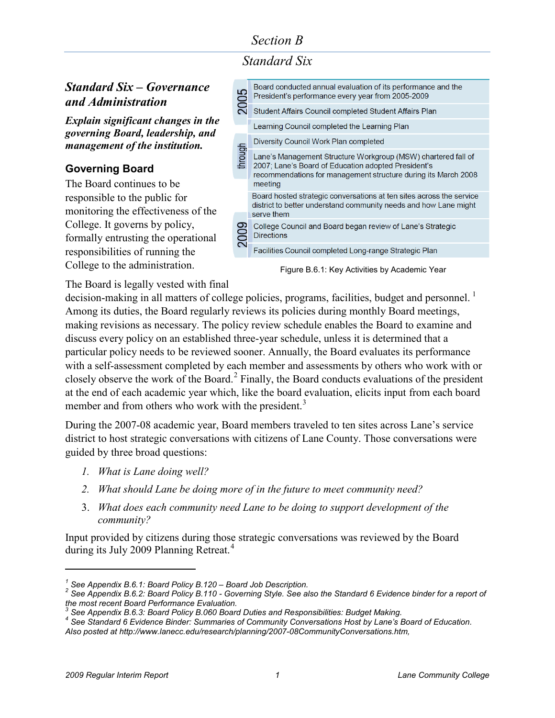# *Section B*

# *Standard Six*

### *Standard Six – Governance and Administration*

*Explain significant changes in the governing Board, leadership, and management of the institution.*

### **Governing Board**

The Board continues to be responsible to the public for monitoring the effectiveness of the College. It governs by policy, formally entrusting the operational responsibilities of running the College to the administration.

| 2005    | Board conducted annual evaluation of its performance and the<br>President's performance every year from 2005-2009                                                                                 |
|---------|---------------------------------------------------------------------------------------------------------------------------------------------------------------------------------------------------|
|         | Student Affairs Council completed Student Affairs Plan                                                                                                                                            |
|         | Learning Council completed the Learning Plan                                                                                                                                                      |
|         | Diversity Council Work Plan completed                                                                                                                                                             |
| through | Lane's Management Structure Workgroup (MSW) chartered fall of<br>2007; Lane's Board of Education adopted President's<br>recommendations for management structure during its March 2008<br>meeting |
|         | Board hosted strategic conversations at ten sites across the service<br>district to better understand community needs and how Lane might<br>serve them                                            |
| Ž       | College Council and Board began review of Lane's Strategic<br><b>Directions</b>                                                                                                                   |
|         | Facilities Council completed Long-range Strategic Plan                                                                                                                                            |
|         |                                                                                                                                                                                                   |

Figure B.6.1: Key Activities by Academic Year

The Board is legally vested with final

decision-making in all matters of college policies, programs, facilities, budget and personnel.<sup>[1](#page-0-0)</sup> Among its duties, the Board regularly reviews its policies during monthly Board meetings, making revisions as necessary. The policy review schedule enables the Board to examine and discuss every policy on an established three-year schedule, unless it is determined that a particular policy needs to be reviewed sooner. Annually, the Board evaluates its performance with a self-assessment completed by each member and assessments by others who work with or closely observe the work of the Board.[2](#page-0-1) Finally, the Board conducts evaluations of the president at the end of each academic year which, like the board evaluation, elicits input from each board member and from others who work with the president.<sup>[3](#page-0-2)</sup>

During the 2007-08 academic year, Board members traveled to ten sites across Lane's service district to host strategic conversations with citizens of Lane County. Those conversations were guided by three broad questions:

- *1. What is Lane doing well?*
- *2. What should Lane be doing more of in the future to meet community need?*
- 3. *What does each community need Lane to be doing to support development of the community?*

Input provided by citizens during those strategic conversations was reviewed by the Board during its July 2009 Planning Retreat.<sup>[4](#page-0-3)</sup>

 $\overline{a}$ 

<span id="page-0-1"></span><span id="page-0-0"></span>*<sup>1</sup> See Appendix B.6.1: Board Policy B.120 – Board Job Description. <sup>2</sup> See Appendix B.6.2: Board Policy B.110 - Governing Style. See also the Standard 6 Evidence binder for a report of the most recent Board Performance Evaluation.*

<span id="page-0-3"></span><span id="page-0-2"></span><sup>&</sup>lt;sup>4</sup> See Standard 6 Evidence Binder: Summaries of Community Conversations Host by Lane's Board of Education.

*Also posted at http://www.lanecc.edu/research/planning/2007-08CommunityConversations.htm,*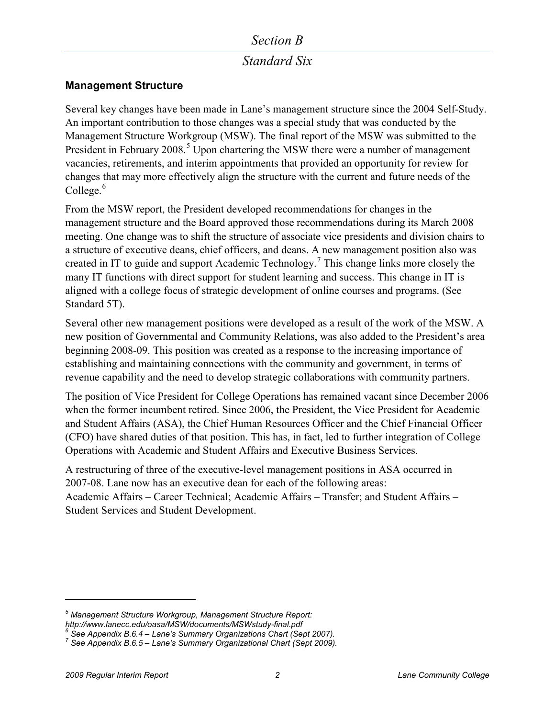### *Section B*

### *Standard Six*

### **Management Structure**

Several key changes have been made in Lane's management structure since the 2004 Self-Study. An important contribution to those changes was a special study that was conducted by the Management Structure Workgroup (MSW). The final report of the MSW was submitted to the President in February 2008.<sup>[5](#page-1-0)</sup> Upon chartering the MSW there were a number of management vacancies, retirements, and interim appointments that provided an opportunity for review for changes that may more effectively align the structure with the current and future needs of the College. $6$ 

From the MSW report, the President developed recommendations for changes in the management structure and the Board approved those recommendations during its March 2008 meeting. One change was to shift the structure of associate vice presidents and division chairs to a structure of executive deans, chief officers, and deans. A new management position also was created in IT to guide and support Academic Technology.<sup>[7](#page-1-2)</sup> This change links more closely the many IT functions with direct support for student learning and success. This change in IT is aligned with a college focus of strategic development of online courses and programs. (See Standard 5T).

Several other new management positions were developed as a result of the work of the MSW. A new position of Governmental and Community Relations, was also added to the President's area beginning 2008-09. This position was created as a response to the increasing importance of establishing and maintaining connections with the community and government, in terms of revenue capability and the need to develop strategic collaborations with community partners.

The position of Vice President for College Operations has remained vacant since December 2006 when the former incumbent retired. Since 2006, the President, the Vice President for Academic and Student Affairs (ASA), the Chief Human Resources Officer and the Chief Financial Officer (CFO) have shared duties of that position. This has, in fact, led to further integration of College Operations with Academic and Student Affairs and Executive Business Services.

A restructuring of three of the executive-level management positions in ASA occurred in 2007-08. Lane now has an executive dean for each of the following areas: Academic Affairs – Career Technical; Academic Affairs – Transfer; and Student Affairs – Student Services and Student Development.

 $\overline{a}$ 

*<sup>5</sup> Management Structure Workgroup, Management Structure Report:* 

<span id="page-1-2"></span>

<span id="page-1-1"></span><span id="page-1-0"></span>nttp://www.lanecc.edu/oasa/MSW/documents/MSWstudy-final.pdf<br>
6 See Appendix B.6.4 – Lane's Summary Organizations Chart (Sept 2007).<br>
<sup>7</sup> See Appendix B.6.5 – Lane's Summary Organizational Chart (Sept 2007).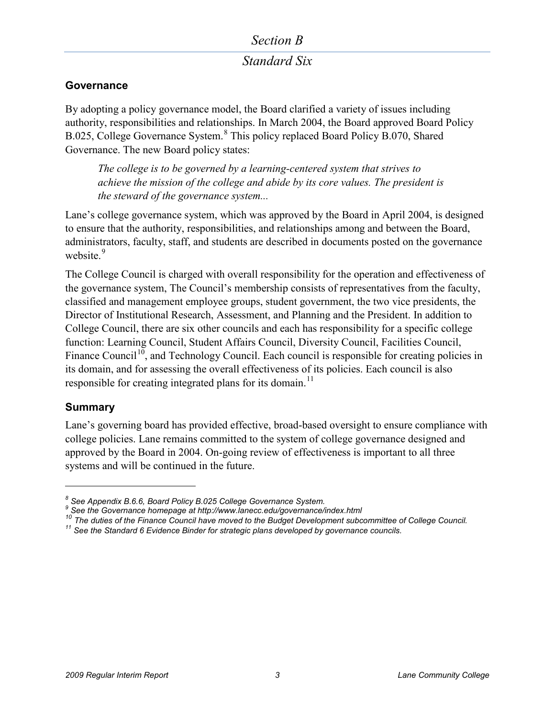### *Section B*

### *Standard Six*

### **Governance**

By adopting a policy governance model, the Board clarified a variety of issues including authority, responsibilities and relationships. In March 2004, the Board approved Board Policy B.025, College Governance System.<sup>[8](#page-2-0)</sup> This policy replaced Board Policy B.070, Shared Governance. The new Board policy states:

*The college is to be governed by a learning-centered system that strives to achieve the mission of the college and abide by its core values. The president is the steward of the governance system...* 

Lane's college governance system, which was approved by the Board in April 2004, is designed to ensure that the authority, responsibilities, and relationships among and between the Board, administrators, faculty, staff, and students are described in documents posted on the governance website.<sup>[9](#page-2-1)</sup>

The College Council is charged with overall responsibility for the operation and effectiveness of the governance system, The Council's membership consists of representatives from the faculty, classified and management employee groups, student government, the two vice presidents, the Director of Institutional Research, Assessment, and Planning and the President. In addition to College Council, there are six other councils and each has responsibility for a specific college function: Learning Council, Student Affairs Council, Diversity Council, Facilities Council, Finance Council<sup>10</sup>, and Technology Council. Each council is responsible for creating policies in its domain, and for assessing the overall effectiveness of its policies. Each council is also responsible for creating integrated plans for its domain.<sup>[11](#page-2-3)</sup>

### **Summary**

 $\overline{a}$ 

Lane's governing board has provided effective, broad-based oversight to ensure compliance with college policies. Lane remains committed to the system of college governance designed and approved by the Board in 2004. On-going review of effectiveness is important to all three systems and will be continued in the future.

<span id="page-2-1"></span><span id="page-2-0"></span><sup>&</sup>lt;sup>8</sup> See Appendix B.6.6, Board Policy B.025 College Governance System.<br><sup>9</sup> See the Governance homepage at<http://www.lanecc.edu/governance/index.html><br><sup>10</sup> The duties of the Finance Council have moved to the Budget Developm

<span id="page-2-3"></span><span id="page-2-2"></span>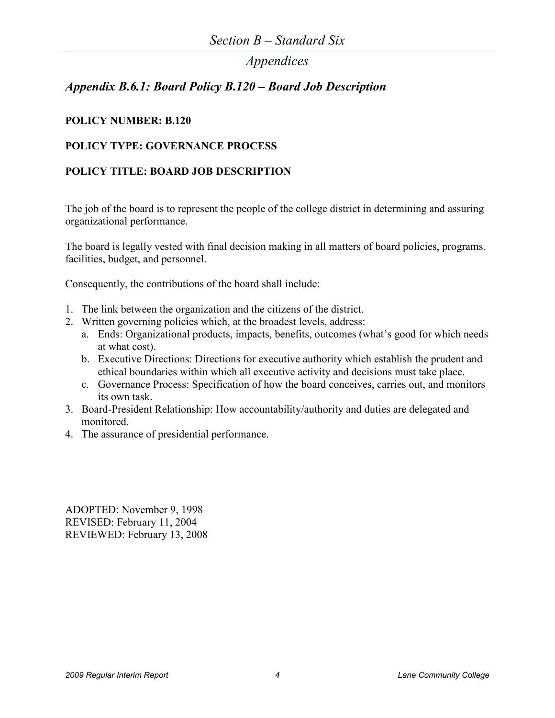## *Appendix B.6.1: Board Policy B.120 – Board Job Description*

### **POLICY NUMBER: B.120**

### **POLICY TYPE: GOVERNANCE PROCESS**

### **POLICY TITLE: BOARD JOB DESCRIPTION**

The job of the board is to represent the people of the college district in determining and assuring organizational performance.

The board is legally vested with final decision making in all matters of board policies, programs, facilities, budget, and personnel.

Consequently, the contributions of the board shall include:

- 1. The link between the organization and the citizens of the district.
- 2. Written governing policies which, at the broadest levels, address:
	- a. Ends: Organizational products, impacts, benefits, outcomes (what's good for which needs at what cost).
	- b. Executive Directions: Directions for executive authority which establish the prudent and ethical boundaries within which all executive activity and decisions must take place.
	- c. Governance Process: Specification of how the board conceives, carries out, and monitors its own task.
- 3. Board-President Relationship: How accountability/authority and duties are delegated and monitored.
- 4. The assurance of presidential performance.

ADOPTED: November 9, 1998 REVISED: February 11, 2004 REVIEWED: February 13, 2008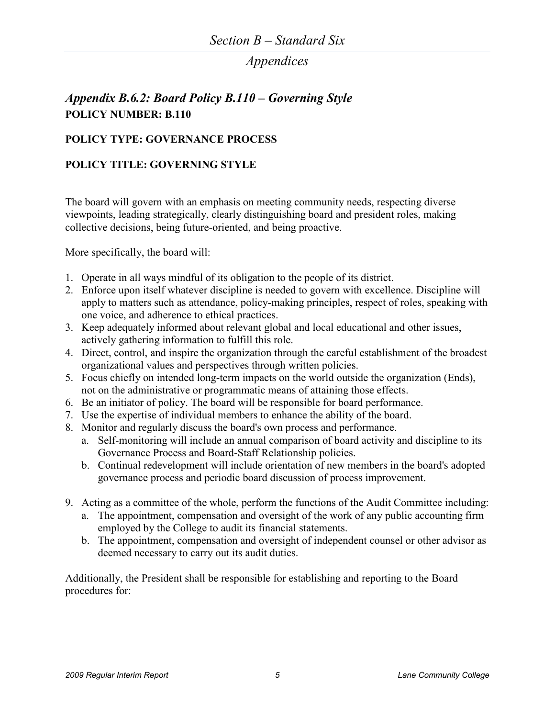## *Appendix B.6.2: Board Policy B.110 – Governing Style* **POLICY NUMBER: B.110**

#### **POLICY TYPE: GOVERNANCE PROCESS**

#### **POLICY TITLE: GOVERNING STYLE**

The board will govern with an emphasis on meeting community needs, respecting diverse viewpoints, leading strategically, clearly distinguishing board and president roles, making collective decisions, being future-oriented, and being proactive.

More specifically, the board will:

- 1. Operate in all ways mindful of its obligation to the people of its district.
- 2. Enforce upon itself whatever discipline is needed to govern with excellence. Discipline will apply to matters such as attendance, policy-making principles, respect of roles, speaking with one voice, and adherence to ethical practices.
- 3. Keep adequately informed about relevant global and local educational and other issues, actively gathering information to fulfill this role.
- 4. Direct, control, and inspire the organization through the careful establishment of the broadest organizational values and perspectives through written policies.
- 5. Focus chiefly on intended long-term impacts on the world outside the organization (Ends), not on the administrative or programmatic means of attaining those effects.
- 6. Be an initiator of policy. The board will be responsible for board performance.
- 7. Use the expertise of individual members to enhance the ability of the board.
- 8. Monitor and regularly discuss the board's own process and performance.
	- a. Self-monitoring will include an annual comparison of board activity and discipline to its Governance Process and Board-Staff Relationship policies.
	- b. Continual redevelopment will include orientation of new members in the board's adopted governance process and periodic board discussion of process improvement.
- 9. Acting as a committee of the whole, perform the functions of the Audit Committee including:
	- a. The appointment, compensation and oversight of the work of any public accounting firm employed by the College to audit its financial statements.
	- b. The appointment, compensation and oversight of independent counsel or other advisor as deemed necessary to carry out its audit duties.

Additionally, the President shall be responsible for establishing and reporting to the Board procedures for: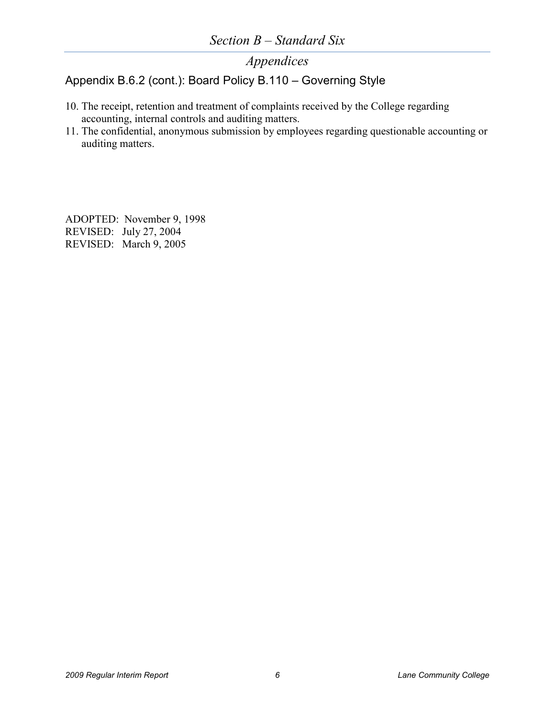### Appendix B.6.2 (cont.): Board Policy B.110 – Governing Style

- 10. The receipt, retention and treatment of complaints received by the College regarding accounting, internal controls and auditing matters.
- 11. The confidential, anonymous submission by employees regarding questionable accounting or auditing matters.

ADOPTED: November 9, 1998 REVISED: July 27, 2004 REVISED: March 9, 2005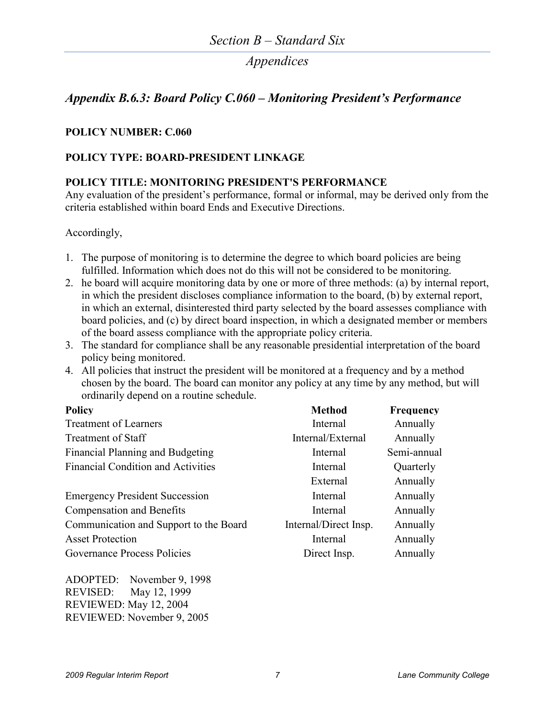### *Appendix B.6.3: Board Policy C.060 – Monitoring President's Performance*

#### **POLICY NUMBER: C.060**

#### **POLICY TYPE: BOARD-PRESIDENT LINKAGE**

#### **POLICY TITLE: MONITORING PRESIDENT'S PERFORMANCE**

Any evaluation of the president's performance, formal or informal, may be derived only from the criteria established within board Ends and Executive Directions.

Accordingly,

- 1. The purpose of monitoring is to determine the degree to which board policies are being fulfilled. Information which does not do this will not be considered to be monitoring.
- 2. he board will acquire monitoring data by one or more of three methods: (a) by internal report, in which the president discloses compliance information to the board, (b) by external report, in which an external, disinterested third party selected by the board assesses compliance with board policies, and (c) by direct board inspection, in which a designated member or members of the board assess compliance with the appropriate policy criteria.
- 3. The standard for compliance shall be any reasonable presidential interpretation of the board policy being monitored.
- 4. All policies that instruct the president will be monitored at a frequency and by a method chosen by the board. The board can monitor any policy at any time by any method, but will ordinarily depend on a routine schedule.

| <b>Policy</b>                             | <b>Method</b>         | <b>Frequency</b> |
|-------------------------------------------|-----------------------|------------------|
| <b>Treatment of Learners</b>              | Internal              | Annually         |
| Treatment of Staff                        | Internal/External     | Annually         |
| Financial Planning and Budgeting          | Internal              | Semi-annual      |
| <b>Financial Condition and Activities</b> | Internal              | Quarterly        |
|                                           | External              | Annually         |
| <b>Emergency President Succession</b>     | Internal              | Annually         |
| Compensation and Benefits                 | Internal              | Annually         |
| Communication and Support to the Board    | Internal/Direct Insp. | Annually         |
| <b>Asset Protection</b>                   | Internal              | Annually         |
| Governance Process Policies               | Direct Insp.          | Annually         |

ADOPTED: November 9, 1998 REVISED: May 12, 1999 REVIEWED: May 12, 2004 REVIEWED: November 9, 2005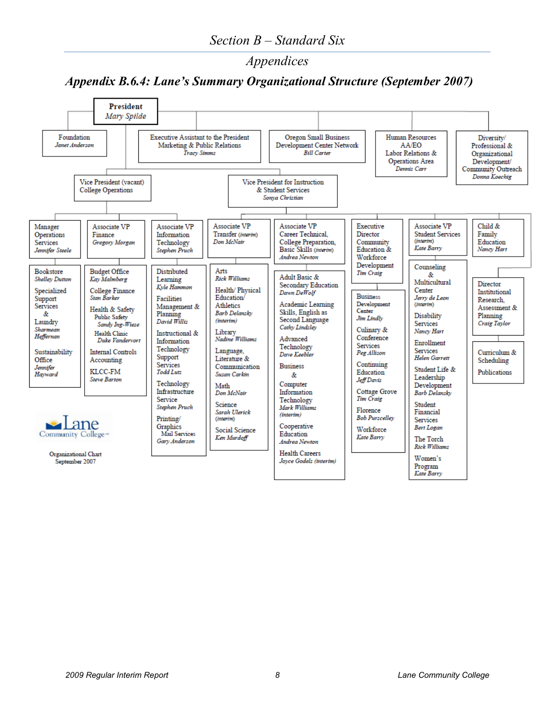# *Appendix B.6.4: Lane's Summary Organizational Structure (September 2007)*

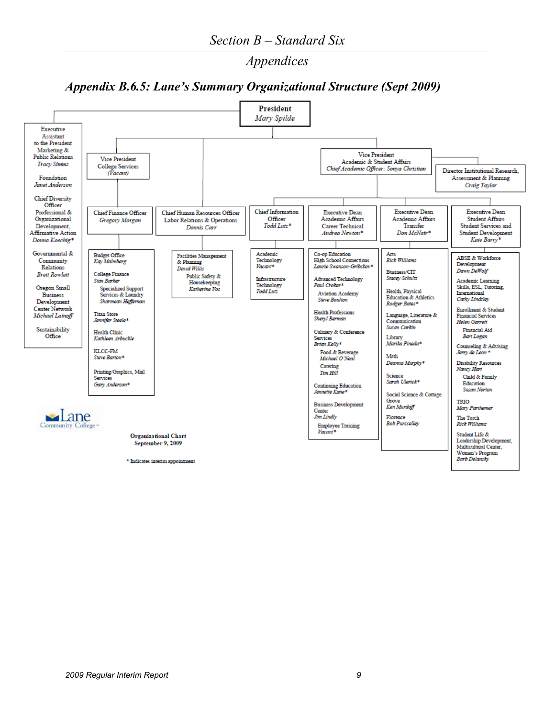